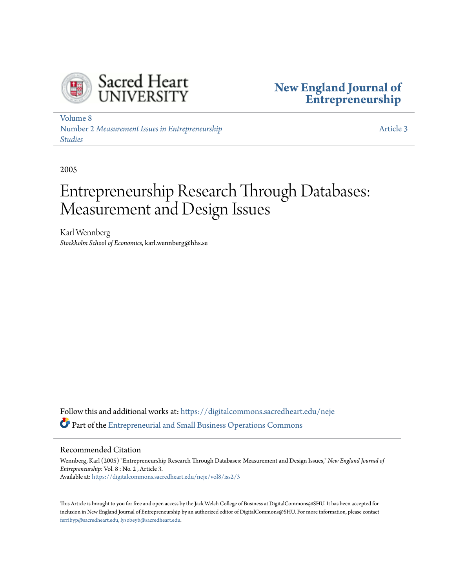



[Volume 8](https://digitalcommons.sacredheart.edu/neje/vol8?utm_source=digitalcommons.sacredheart.edu%2Fneje%2Fvol8%2Fiss2%2F3&utm_medium=PDF&utm_campaign=PDFCoverPages) Number 2 *[Measurement Issues in Entrepreneurship](https://digitalcommons.sacredheart.edu/neje/vol8/iss2?utm_source=digitalcommons.sacredheart.edu%2Fneje%2Fvol8%2Fiss2%2F3&utm_medium=PDF&utm_campaign=PDFCoverPages) [Studies](https://digitalcommons.sacredheart.edu/neje/vol8/iss2?utm_source=digitalcommons.sacredheart.edu%2Fneje%2Fvol8%2Fiss2%2F3&utm_medium=PDF&utm_campaign=PDFCoverPages)*

[Article 3](https://digitalcommons.sacredheart.edu/neje/vol8/iss2/3?utm_source=digitalcommons.sacredheart.edu%2Fneje%2Fvol8%2Fiss2%2F3&utm_medium=PDF&utm_campaign=PDFCoverPages)

2005

# Entrepreneurship Research Through Databases: Measurement and Design Issues

Karl Wennberg *Stockholm School of Economics*, karl.wennberg@hhs.se

Follow this and additional works at: [https://digitalcommons.sacredheart.edu/neje](https://digitalcommons.sacredheart.edu/neje?utm_source=digitalcommons.sacredheart.edu%2Fneje%2Fvol8%2Fiss2%2F3&utm_medium=PDF&utm_campaign=PDFCoverPages) Part of the [Entrepreneurial and Small Business Operations Commons](http://network.bepress.com/hgg/discipline/630?utm_source=digitalcommons.sacredheart.edu%2Fneje%2Fvol8%2Fiss2%2F3&utm_medium=PDF&utm_campaign=PDFCoverPages)

#### Recommended Citation

Wennberg, Karl (2005) "Entrepreneurship Research Through Databases: Measurement and Design Issues," *New England Journal of Entrepreneurship*: Vol. 8 : No. 2 , Article 3. Available at: [https://digitalcommons.sacredheart.edu/neje/vol8/iss2/3](https://digitalcommons.sacredheart.edu/neje/vol8/iss2/3?utm_source=digitalcommons.sacredheart.edu%2Fneje%2Fvol8%2Fiss2%2F3&utm_medium=PDF&utm_campaign=PDFCoverPages)

This Article is brought to you for free and open access by the Jack Welch College of Business at DigitalCommons@SHU. It has been accepted for inclusion in New England Journal of Entrepreneurship by an authorized editor of DigitalCommons@SHU. For more information, please contact [ferribyp@sacredheart.edu, lysobeyb@sacredheart.edu.](mailto:ferribyp@sacredheart.edu,%20lysobeyb@sacredheart.edu)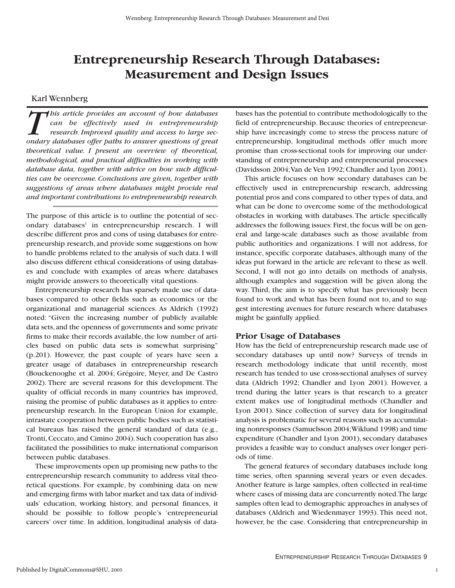# **Entrepreneurship Research Through Databases: Measurement and Design Issues**

#### Karl Wennberg

*T his article provides an account of how databases can be effectively used in entrepreneurship research. Improved quality and access to large secondary databases offer paths to answer questions of great theoretical value. I present an overview of theoretical, methodological, and practical difficulties in working with database data, together with advice on how such difficulties can be overcome. Conclusions are given, together with suggestions of areas where databases might provide real and important contributions to entrepreneurship research.*

The purpose of this article is to outline the potential of secondary databases<sup>1</sup> in entrepreneurship research. I will describe different pros and cons of using databases for entrepreneurship research, and provide some suggestions on how to handle problems related to the analysis of such data.I will also discuss different ethical considerations of using databases and conclude with examples of areas where databases might provide answers to theoretically vital questions.

Entrepreneurship research has sparsely made use of databases compared to other fields such as economics or the organizational and managerial sciences. As Aldrich (1992) noted: "Given the increasing number of publicly available data sets,and the openness of governments and some private firms to make their records available, the low number of articles based on public data sets is somewhat surprising" (p.201). However, the past couple of years have seen a greater usage of databases in entrepreneurship research (Bouckenooghe et al. 2004; Grégoire, Meyer, and De Castro 2002). There are several reasons for this development. The quality of official records in many countries has improved, raising the promise of public databases as it applies to entrepreneurship research. In the European Union for example, intrastate cooperation between public bodies such as statistical bureaus has raised the general standard of data (e.g., Tronti, Ceccato, and Cimino 2004). Such cooperation has also facilitated the possibilities to make international comparison between public databases.

These improvements open up promising new paths to the entrepreneurship research community to address vital theoretical questions. For example, by combining data on new and emerging firms with labor market and tax data of individuals' education, working history, and personal finances, it should be possible to follow people's 'entrepreneurial careers' over time. In addition, longitudinal analysis of data-

bases has the potential to contribute methodologically to the field of entrepreneurship. Because theories of entrepreneurship have increasingly come to stress the process nature of entrepreneurship, longitudinal methods offer much more promise than cross-sectional tools for improving our understanding of entrepreneurship and entrepreneurial processes (Davidsson 2004;Van de Ven 1992; Chandler and Lyon 2001).

This article focuses on how secondary databases can be effectively used in entrepreneurship research, addressing potential pros and cons compared to other types of data, and what can be done to overcome some of the methodological obstacles in working with databases.The article specifically addresses the following issues: First, the focus will be on general and large-scale databases such as those available from public authorities and organizations. I will not address, for instance, specific corporate databases, although many of the ideas put forward in the article are relevant to these as well. Second, I will not go into details on methods of analysis, although examples and suggestion will be given along the way. Third, the aim is to specify what has previously been found to work and what has been found not to, and to suggest interesting avenues for future research where databases might be gainfully applied.

#### **Prior Usage of Databases**

How has the field of entrepreneurship research made use of secondary databases up until now? Surveys of trends in research methodology indicate that until recently, most research has tended to use cross-sectional analyses of survey data (Aldrich 1992; Chandler and Lyon 2001). However, a trend during the latter years is that research to a greater extent makes use of longitudinal methods (Chandler and Lyon 2001). Since collection of survey data for longitudinal analysis is problematic for several reasons such as accumulating nonresponses (Samuelsson 2004;Wiklund 1998) and time expenditure (Chandler and Lyon 2001), secondary databases provides a feasible way to conduct analyses over longer periods of time.

The general features of secondary databases include long time series, often spanning several years or even decades. Another feature is large samples, often collected in real-time where cases of missing data are concurrently noted.The large samples often lead to demographic approaches in analyses of databases (Aldrich and Wiedenmayer 1993). This need not, however, be the case. Considering that entrepreneurship in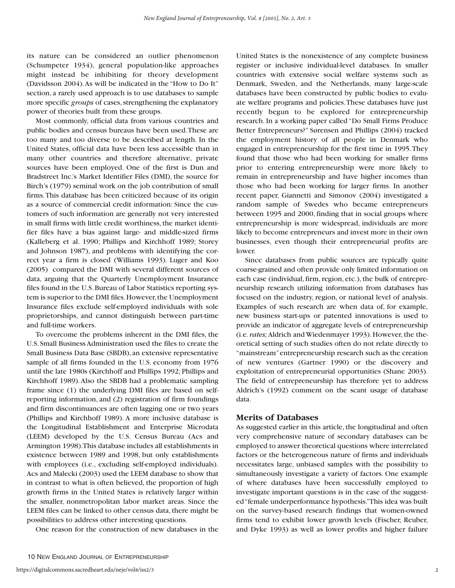its nature can be considered an outlier phenomenon (Schumpeter 1934), general population-like approaches might instead be inhibiting for theory development (Davidsson 2004).As will be indicated in the "How to Do It" section, a rarely used approach is to use databases to sample more specific *groups* of cases, strengthening the explanatory power of theories built from these groups.

Most commonly, official data from various countries and public bodies and census bureaus have been used.These are too many and too diverse to be described at length. In the United States, official data have been less accessible than in many other countries and therefore alternative, private sources have been employed. One of the first is Dun and Bradstreet Inc.'s Market Identifier Files (DMI), the source for Birch's (1979) seminal work on the job contribution of small firms.This database has been criticized because of its origin as a source of commercial credit information: Since the customers of such information are generally not very interested in small firms with little credit worthiness, the market identifier files have a bias against large- and middle-sized firms (Kalleberg et al. 1990; Phillips and Kirchhoff 1989; Storey and Johnson 1987), and problems with identifying the correct year a firm is closed (Williams 1993). Luger and Koo (2005) compared the DMI with several different sources of data, arguing that the Quarterly Unemployment Insurance files found in the U.S.Bureau of Labor Statistics reporting system is superior to the DMI files. However, the Unemployment Insurance files exclude self-employed individuals with sole proprietorships, and cannot distinguish between part-time and full-time workers.

To overcome the problems inherent in the DMI files, the U.S. Small Business Administration used the files to create the Small Business Data Base (SBDB), an extensive representative sample of all firms founded in the U.S. economy from 1976 until the late 1980s (Kirchhoff and Phillips 1992; Phillips and Kirchhoff 1989).Also the SBDB had a problematic sampling frame since (1) the underlying DMI files are based on selfreporting information, and (2) registration of firm foundings and firm discontinuances are often lagging one or two years (Phillips and Kirchhoff 1989). A more inclusive database is the Longitudinal Establishment and Enterprise Microdata (LEEM) developed by the U.S. Census Bureau (Acs and Armington 1998).This database includes all establishments in existence between 1989 and 1998, but only establishments with employees (i.e., excluding self-employed individuals). Acs and Malecki (2003) used the LEEM database to show that in contrast to what is often believed, the proportion of high growth firms in the United States is relatively larger within the smaller, nonmetropolitan labor market areas. Since the LEEM files can be linked to other census data, there might be possibilities to address other interesting questions.

One reason for the construction of new databases in the

10 NEW ENGLAND JOURNAL OF ENTREPRENEURSHIP

United States is the nonexistence of any complete business register or inclusive individual-level databases. In smaller countries with extensive social welfare systems such as Denmark, Sweden, and the Netherlands, many large-scale databases have been constructed by public bodies to evaluate welfare programs and policies.These databases have just recently begun to be explored for entrepreneurship research. In a working paper called "Do Small Firms Produce Better Entrepreneurs?" Sørensen and Phillips (2004) tracked the employment history of all people in Denmark who engaged in entrepreneurship for the first time in 1995.They found that those who had been working for smaller firms prior to entering entrepreneurship were more likely to remain in entrepreneurship and have higher incomes than those who had been working for larger firms. In another recent paper, Giannetti and Simonov (2004) investigated a random sample of Swedes who became entrepreneurs between 1995 and 2000, finding that in social groups where entrepreneurship is more widespread, individuals are more likely to become entrepreneurs and invest more in their own businesses, even though their entrepreneurial profits are lower.

Since databases from public sources are typically quite coarse-grained and often provide only limited information on each case (individual, firm, region, etc.), the bulk of entrepreneurship research utilizing information from databases has focused on the industry, region, or national level of analysis. Examples of such research are when data of, for example, new business start-ups or patented innovations is used to provide an indicator of aggregate levels of entrepreneurship (i.e. *rates;* Aldrich and Wiedenmayer 1993). However, the theoretical setting of such studies often do not relate directly to "mainstream"entrepreneurship research such as the creation of new ventures (Gartner 1990) or the discovery and exploitation of entrepreneurial opportunities (Shane 2003). The field of entrepreneurship has therefore yet to address Aldrich's (1992) comment on the scant usage of database data.

#### **Merits of Databases**

As suggested earlier in this article, the longitudinal and often very comprehensive nature of secondary databases can be employed to answer theoretical questions where interrelated factors or the heterogeneous nature of firms and individuals necessitates large, unbiased samples with the possibility to simultaneously investigate a variety of factors. One example of where databases have been successfully employed to investigate important questions is in the case of the suggested "female underperformance hypothesis."This idea was built on the survey-based research findings that women-owned firms tend to exhibit lower growth levels (Fischer, Reuber, and Dyke 1993) as well as lower profits and higher failure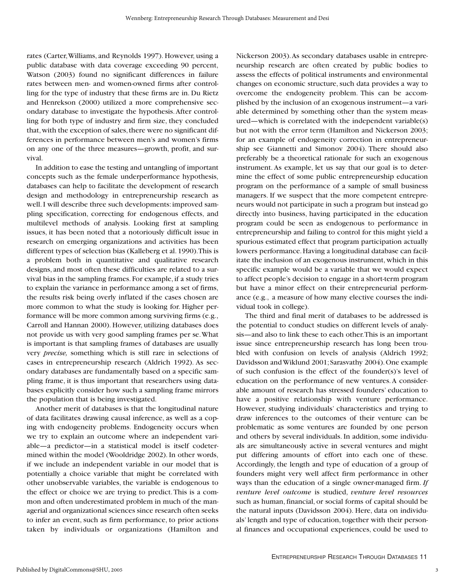rates (Carter,Williams, and Reynolds 1997). However, using a public database with data coverage exceeding 90 percent, Watson (2003) found no significant differences in failure rates between men- and women-owned firms after controlling for the type of industry that these firms are in. Du Rietz and Henrekson (2000) utilized a more comprehensive secondary database to investigate the hypothesis.After controlling for both type of industry and firm size, they concluded that, with the exception of sales, there were no significant differences in performance between men's and women's firms on any one of the three measures—growth, profit, and survival.

In addition to ease the testing and untangling of important concepts such as the female underperformance hypothesis, databases can help to facilitate the development of research design and methodology in entrepreneurship research as well. I will describe three such developments: improved sampling specification, correcting for endogenous effects, and multilevel methods of analysis. Looking first at sampling issues, it has been noted that a notoriously difficult issue in research on emerging organizations and activities has been different types of selection bias (Kalleberg et al.1990).This is a problem both in quantitative and qualitative research designs, and most often these difficulties are related to a survival bias in the sampling frames. For example, if a study tries to explain the variance in performance among a set of firms, the results risk being overly inflated if the cases chosen are more common to what the study is looking for. Higher performance will be more common among surviving firms (e.g., Carroll and Hannan 2000). However, utilizing databases does not provide us with very good sampling frames per se.What is important is that sampling frames of databases are usually very *precise,* something which is still rare in selections of cases in entrepreneurship research (Aldrich 1992). As secondary databases are fundamentally based on a specific sampling frame, it is thus important that researchers using databases explicitly consider how such a sampling frame mirrors the population that is being investigated.

Another merit of databases is that the longitudinal nature of data facilitates drawing causal inference, as well as a coping with endogeneity problems. Endogeneity occurs when we try to explain an outcome where an independent variable—a predictor—in a statistical model is itself codetermined within the model (Wooldridge 2002). In other words, if we include an independent variable in our model that is potentially a choice variable that might be correlated with other unobservable variables, the variable is endogenous to the effect or choice we are trying to predict.This is a common and often underestimated problem in much of the managerial and organizational sciences since research often seeks to infer an event, such as firm performance, to prior actions taken by individuals or organizations (Hamilton and

Nickerson 2003).As secondary databases usable in entrepreneurship research are often created by public bodies to assess the effects of political instruments and environmental changes on economic structure, such data provides a way to overcome the endogeneity problem. This can be accomplished by the inclusion of an exogenous instrument—a variable determined by something other than the system measured—which is correlated with the independent variable(s) but not with the error term (Hamilton and Nickerson 2003; for an example of endogeneity correction in entrepreneurship see Giannetti and Simonov 2004). There should also preferably be a theoretical rationale for such an exogenous instrument. As example, let us say that our goal is to determine the effect of some public entrepreneurship education program on the performance of a sample of small business managers. If we suspect that the more competent entrepreneurs would not participate in such a program but instead go directly into business, having participated in the education program could be seen as endogenous to performance in entrepreneurship and failing to control for this might yield a spurious estimated effect that program participation actually lowers performance.Having a longitudinal database can facilitate the inclusion of an exogenous instrument, which in this specific example would be a variable that we would expect to affect people's decision to engage in a short-term program but have a minor effect on their entrepreneurial performance (e.g., a measure of how many elective courses the individual took in college).

The third and final merit of databases to be addressed is the potential to conduct studies on different levels of analysis—and also to link these to each other.This is an important issue since entrepreneurship research has long been troubled with confusion on levels of analysis (Aldrich 1992; Davidsson and Wiklund 2001; Sarasvathy 2004). One example of such confusion is the effect of the founder(s)'s level of education on the performance of new ventures.A considerable amount of research has stressed founders' education to have a positive relationship with venture performance. However, studying individuals' characteristics and trying to draw inferences to the outcomes of their venture can be problematic as some ventures are founded by one person and others by several individuals. In addition, some individuals are simultaneously active in several ventures and might put differing amounts of effort into each one of these. Accordingly, the length and type of education of a group of founders might very well affect firm performance in other ways than the education of a single owner-managed firm. *If venture level outcome* is studied, *venture level resources* such as human, financial, or social forms of capital should be the natural inputs (Davidsson 2004). Here, data on individuals' length and type of education, together with their personal finances and occupational experiences, could be used to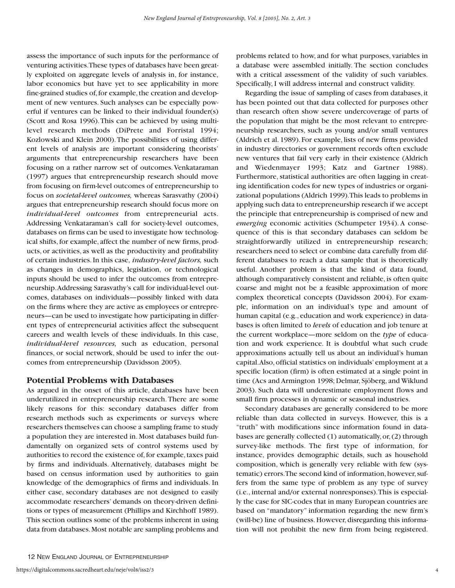assess the importance of such inputs for the performance of venturing activities.These types of databases have been greatly exploited on aggregate levels of analysis in, for instance, labor economics but have yet to see applicability in more fine-grained studies of, for example, the creation and development of new ventures. Such analyses can be especially powerful if ventures can be linked to their individual founder(s) (Scott and Rosa 1996).This can be achieved by using multilevel research methods (DiPrete and Forristal 1994; Kozlowski and Klein 2000).The possibilities of using different levels of analysis are important considering theorists' arguments that entrepreneurship researchers have been focusing on a rather narrow set of outcomes.Venkataraman (1997) argues that entrepreneurship research should move from focusing on firm-level outcomes of entrepreneurship to focus on *societal-level outcomes,* whereas Sarasvathy (2004) argues that entrepreneurship research should focus more on *individual-level outcomes* from entrepreneurial acts. Addressing Venkataraman's call for society-level outcomes, databases on firms can be used to investigate how technological shifts, for example, affect the number of new firms, products, or activities, as well as the productivity and profitability of certain industries. In this case, *industry-level factors,* such as changes in demographics, legislation, or technological inputs should be used to infer the outcomes from entrepreneurship.Addressing Sarasvathy's call for individual-level outcomes, databases on individuals—possibly linked with data on the firms where they are active as employees or entrepreneurs—can be used to investigate how participating in different types of entrepreneurial activities affect the subsequent careers and wealth levels of these individuals. In this case, *individual-level resources,* such as education, personal finances, or social network, should be used to infer the outcomes from entrepreneurship (Davidsson 2005).

#### **Potential Problems with Databases**

As argued in the onset of this article, databases have been underutilized in entrepreneurship research.There are some likely reasons for this: secondary databases differ from research methods such as experiments or surveys where researchers themselves can choose a sampling frame to study a population they are interested in. Most databases build fundamentally on organized sets of control systems used by authorities to record the existence of,for example,taxes paid by firms and individuals. Alternatively, databases might be based on census information used by authorities to gain knowledge of the demographics of firms and individuals. In either case, secondary databases are not designed to easily accommodate researchers' demands on theory-driven definitions or types of measurement (Phillips and Kirchhoff 1989). This section outlines some of the problems inherent in using data from databases.Most notable are sampling problems and

problems related to how, and for what purposes, variables in a database were assembled initially. The section concludes with a critical assessment of the validity of such variables. Specifically, I will address internal and construct validity.

Regarding the issue of sampling of cases from databases, it has been pointed out that data collected for purposes other than research often show severe undercoverage of parts of the population that might be the most relevant to entrepreneurship researchers, such as young and/or small ventures (Aldrich et al. 1989). For example, lists of new firms provided in industry directories or government records often exclude new ventures that fail very early in their existence (Aldrich and Wiedenmayer 1993; Katz and Gartner 1988). Furthermore, statistical authorities are often lagging in creating identification codes for new types of industries or organizational populations (Aldrich 1999).This leads to problems in applying such data to entrepreneurship research if we accept the principle that entrepreneurship is comprised of new and *emerging* economic activities (Schumpeter 1934). A consequence of this is that secondary databases can seldom be straightforwardly utilized in entrepreneurship research; researchers need to select or combine data carefully from different databases to reach a data sample that is theoretically useful. Another problem is that the kind of data found, although comparatively consistent and reliable, is often quite coarse and might not be a feasible approximation of more complex theoretical concepts (Davidsson 2004). For example, information on an individual's type and amount of human capital (e.g., education and work experience) in databases is often limited to *levels* of education and job tenure at the current workplace—more seldom on the *type* of education and work experience. It is doubtful what such crude approximations actually tell us about an individual's human capital.Also, official statistics on individuals' employment at a specific location (firm) is often estimated at a single point in time (Acs and Armington 1998; Delmar, Sjöberg, and Wiklund 2003). Such data will underestimate employment flows and small firm processes in dynamic or seasonal industries.

Secondary databases are generally considered to be more reliable than data collected in surveys. However, this is a "truth" with modifications since information found in databases are generally collected (1) automatically,or,(2) through survey-like methods. The first type of information, for instance, provides demographic details, such as household composition, which is generally very reliable with few (systematic) errors. The second kind of information, however, suffers from the same type of problem as any type of survey (i.e., internal and/or external nonresponses).This is especially the case for SIC-codes that in many European countries are based on "mandatory" information regarding the new firm's (will-be) line of business. However, disregarding this information will not prohibit the new firm from being registered.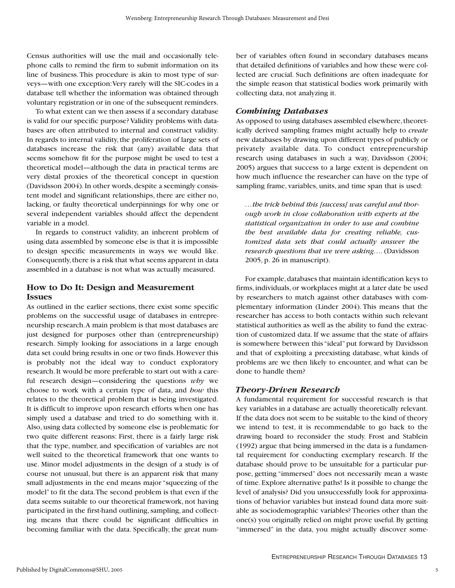Census authorities will use the mail and occasionally telephone calls to remind the firm to submit information on its line of business.This procedure is akin to most type of surveys—with one exception:Very rarely will the SIC-codes in a database tell whether the information was obtained through voluntary registration or in one of the subsequent reminders.

To what extent can we then assess if a secondary database is valid for our specific purpose? Validity problems with databases are often attributed to internal and construct validity. In regards to internal validity, the proliferation of large sets of databases increase the risk that (any) available data that seems somehow fit for the purpose might be used to test a theoretical model—although the data in practical terms are very distal proxies of the theoretical concept in question (Davidsson 2004).In other words,despite a seemingly consistent model and significant relationships, there are either no, lacking, or faulty theoretical underpinnings for why one or several independent variables should affect the dependent variable in a model.

In regards to construct validity, an inherent problem of using data assembled by someone else is that it is impossible to design specific measurements in ways we would like. Consequently, there is a risk that what seems apparent in data assembled in a database is not what was actually measured.

# **How to Do It: Design and Measurement Issues**

As outlined in the earlier sections, there exist some specific problems on the successful usage of databases in entrepreneurship research.A main problem is that most databases are just designed for purposes other than (entrepreneurship) research. Simply looking for associations in a large enough data set could bring results in one or two finds. However this is probably not the ideal way to conduct exploratory research.It would be more preferable to start out with a careful research design—considering the questions *why* we choose to work with a certain type of data, and *how* this relates to the theoretical problem that is being investigated. It is difficult to improve upon research efforts when one has simply used a database and tried to do something with it. Also, using data collected by someone else is problematic for two quite different reasons: First, there is a fairly large risk that the type, number, and specification of variables are not well suited to the theoretical framework that one wants to use. Minor model adjustments in the design of a study is of course not unusual, but there is an apparent risk that many small adjustments in the end means major "squeezing of the model" to fit the data.The second problem is that even if the data seems suitable to our theoretical framework, not having participated in the first-hand outlining, sampling, and collecting means that there could be significant difficulties in becoming familiar with the data. Specifically, the great number of variables often found in secondary databases means that detailed definitions of variables and how these were collected are crucial. Such definitions are often inadequate for the simple reason that statistical bodies work primarily with collecting data, not analyzing it.

# *Combining Databases*

As opposed to using databases assembled elsewhere, theoretically derived sampling frames might actually help to *create* new databases by drawing upon different types of publicly or privately available data. To conduct entrepreneurship research using databases in such a way, Davidsson (2004; 2005) argues that success to a large extent is dependent on how much influence the researcher can have on the type of sampling frame, variables, units, and time span that is used:

*…the trick behind this [success] was careful and thorough work in close collaboration with experts at the statistical organization in order to use and combine the best available data for creating reliable, customized data sets that could actually answer the research questions that we were asking….*(Davidsson 2005, p. 26 in manuscript).

For example, databases that maintain identification keys to firms, individuals, or workplaces might at a later date be used by researchers to match against other databases with complementary information (Linder 2004). This means that the researcher has access to both contacts within such relevant statistical authorities as well as the ability to fund the extraction of customized data. If we assume that the state of affairs is somewhere between this "ideal" put forward by Davidsson and that of exploiting a preexisting database, what kinds of problems are we then likely to encounter, and what can be done to handle them?

# *Theory-Driven Research*

A fundamental requirement for successful research is that key variables in a database are actually theoretically relevant. If the data does not seem to be suitable to the kind of theory we intend to test, it is recommendable to go back to the drawing board to reconsider the study. Frost and Stablein (1992) argue that being immersed in the data is a fundamental requirement for conducting exemplary research. If the database should prove to be unsuitable for a particular purpose, getting "immersed" does not necessarily mean a waste of time.Explore alternative paths! Is it possible to change the level of analysis? Did you unsuccessfully look for approximations of behavior variables but instead found data more suitable as sociodemographic variables? Theories other than the one(s) you originally relied on might prove useful. By getting "immersed" in the data, you might actually discover some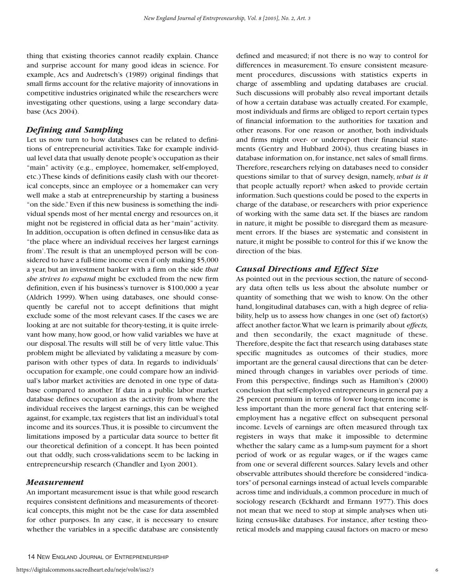thing that existing theories cannot readily explain. Chance and surprise account for many good ideas in science. For example, Acs and Audretsch's (1989) original findings that small firms account for the relative majority of innovations in competitive industries originated while the researchers were investigating other questions, using a large secondary database (Acs 2004).

### *Defining and Sampling*

Let us now turn to how databases can be related to definitions of entrepreneurial activities.Take for example individual level data that usually denote people's occupation as their "main" activity (e.g., employee, homemaker, self-employed, etc.) These kinds of definitions easily clash with our theoretical concepts, since an employee or a homemaker can very well make a stab at entrepreneurship by starting a business "on the side."Even if this new business is something the individual spends most of her mental energy and resources on, it might not be registered in official data as her "main" activity. In addition, occupation is often defined in census-like data as "the place where an individual receives her largest earnings from'.The result is that an unemployed person will be considered to have a full-time income even if only making \$5,000 a year, but an investment banker with a firm on the side *that she strives to expand* might be excluded from the new firm definition, even if his business's turnover is \$100,000 a year (Aldrich 1999). When using databases, one should consequently be careful not to accept definitions that might exclude some of the most relevant cases. If the cases we are looking at are not suitable for theory-testing, it is quite irrelevant how many, how good, or how valid variables we have at our disposal.The results will still be of very little value.This problem might be alleviated by validating a measure by comparison with other types of data. In regards to individuals' occupation for example, one could compare how an individual's labor market activities are denoted in one type of database compared to another. If data in a public labor market database defines occupation as the activity from where the individual receives the largest earnings, this can be weighed against, for example, tax registers that list an individual's total income and its sources.Thus, it is possible to circumvent the limitations imposed by a particular data source to better fit our theoretical definition of a concept. It has been pointed out that oddly, such cross-validations seem to be lacking in entrepreneurship research (Chandler and Lyon 2001).

#### *Measurement*

An important measurement issue is that while good research requires consistent definitions and measurements of theoretical concepts, this might not be the case for data assembled for other purposes. In any case, it is necessary to ensure whether the variables in a specific database are consistently

defined and measured; if not there is no way to control for differences in measurement. To ensure consistent measurement procedures, discussions with statistics experts in charge of assembling and updating databases are crucial. Such discussions will probably also reveal important details of how a certain database was actually created. For example, most individuals and firms are obliged to report certain types of financial information to the authorities for taxation and other reasons. For one reason or another, both individuals and firms might over- or underreport their financial statements (Gentry and Hubbard 2004), thus creating biases in database information on, for instance, net sales of small firms. Therefore, researchers relying on databases need to consider questions similar to that of survey design, namely, *what is it* that people actually report? when asked to provide certain information. Such questions could be posed to the experts in charge of the database, or researchers with prior experience of working with the same data set. If the biases are random in nature, it might be possible to disregard them as measurement errors. If the biases are systematic and consistent in nature,it might be possible to control for this if we know the direction of the bias.

#### *Causal Directions and Effect Size*

As pointed out in the previous section, the nature of secondary data often tells us less about the absolute number or quantity of something that we wish to know. On the other hand, longitudinal databases can, with a high degree of reliability, help us to assess how changes in one (set of) factor(s) affect another factor.What we learn is primarily about *effects,* and then secondarily, the exact magnitude of these. Therefore, despite the fact that research using databases state specific magnitudes as outcomes of their studies, more important are the general causal directions that can be determined through changes in variables over periods of time. From this perspective, findings such as Hamilton's (2000) conclusion that self-employed entrepreneurs in general pay a 25 percent premium in terms of lower long-term income is less important than the more general fact that entering selfemployment has a negative effect on subsequent personal income. Levels of earnings are often measured through tax registers in ways that make it impossible to determine whether the salary came as a lump-sum payment for a short period of work or as regular wages, or if the wages came from one or several different sources. Salary levels and other observable attributes should therefore be considered "indicators"of personal earnings instead of actual levels comparable across time and individuals,a common procedure in much of sociology research (Eckhardt and Ermann 1977). This does not mean that we need to stop at simple analyses when utilizing census-like databases. For instance, after testing theoretical models and mapping causal factors on macro or meso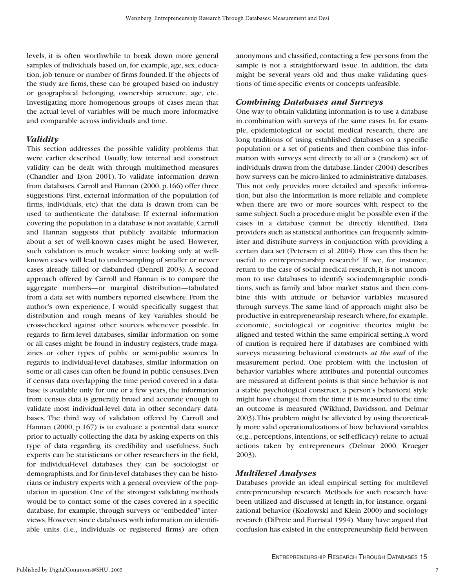levels, it is often worthwhile to break down more general samples of individuals based on, for example, age, sex, education, job tenure or number of firms founded. If the objects of the study are firms, these can be grouped based on industry or geographical belonging, ownership structure, age, etc. Investigating more homogenous groups of cases mean that the actual level of variables will be much more informative and comparable across individuals and time.

#### *Validity*

This section addresses the possible validity problems that were earlier described. Usually, low internal and construct validity can be dealt with through multimethod measures (Chandler and Lyon 2001). To validate information drawn from databases, Carroll and Hannan (2000, p.166) offer three suggestions. First, external information of the population (of firms, individuals, etc) that the data is drawn from can be used to authenticate the database. If external information covering the population in a database is not available, Carroll and Hannan suggests that publicly available information about a set of well-known cases might be used. However, such validation is much weaker since looking only at wellknown cases will lead to undersampling of smaller or newer cases already failed or disbanded (Denrell 2003). A second approach offered by Carroll and Hannan is to compare the aggregate numbers—or marginal distribution—tabulated from a data set with numbers reported elsewhere. From the author's own experience, I would specifically suggest that distribution and rough means of key variables should be cross-checked against other sources whenever possible. In regards to firm-level databases, similar information on some or all cases might be found in industry registers, trade magazines or other types of public or semi-public sources. In regards to individual-level databases, similar information on some or all cases can often be found in public censuses. Even if census data overlapping the time period covered in a database is available only for one or a few years, the information from census data is generally broad and accurate enough to validate most individual-level data in other secondary databases. The third way of validation offered by Carroll and Hannan (2000, p.167) is to evaluate a potential data source prior to actually collecting the data by asking experts on this type of data regarding its credibility and usefulness. Such experts can be statisticians or other researchers in the field, for individual-level databases they can be sociologist or demographists,and for firm-level databases they can be historians or industry experts with a general overview of the population in question. One of the strongest validating methods would be to contact some of the cases covered in a specific database, for example, through surveys or "embedded" interviews. However, since databases with information on identifiable units (i.e., individuals or registered firms) are often

anonymous and classified, contacting a few persons from the sample is not a straightforward issue. In addition, the data might be several years old and thus make validating questions of time-specific events or concepts unfeasible.

#### *Combining Databases and Surveys*

One way to obtain validating information is to use a database in combination with surveys of the same cases. In, for example, epidemiological or social medical research, there are long traditions of using established databases on a specific population or a set of patients and then combine this information with surveys sent directly to all or a (random) set of individuals drawn from the database.Linder (2004) describes how surveys can be micro-linked to administrative databases. This not only provides more detailed and specific information, but also the information is more reliable and complete when there are two or more sources with respect to the same subject. Such a procedure might be possible even if the cases in a database cannot be directly identified. Data providers such as statistical authorities can frequently administer and distribute surveys in conjunction with providing a certain data set (Petersen et al. 2004). How can this then be useful to entrepreneurship research? If we, for instance, return to the case of social medical research, it is not uncommon to use databases to identify sociodemographic conditions, such as family and labor market status and then combine this with attitude or behavior variables measured through surveys. The same kind of approach might also be productive in entrepreneurship research where,for example, economic, sociological or cognitive theories might be aligned and tested within the same empirical setting.A word of caution is required here if databases are combined with surveys measuring behavioral constructs *at the end* of the measurement period. One problem with the inclusion of behavior variables where attributes and potential outcomes are measured at different points is that since behavior is not a stable psychological construct, a person's behavioral style might have changed from the time it is measured to the time an outcome is measured (Wiklund, Davidsson, and Delmar 2003).This problem might be alleviated by using theoretically more valid operationalizations of how behavioral variables (e.g., perceptions, intentions, or self-efficacy) relate to actual actions taken by entrepreneurs (Delmar 2000; Krueger 2003).

#### *Multilevel Analyses*

Databases provide an ideal empirical setting for multilevel entrepreneurship research. Methods for such research have been utilized and discussed at length in, for instance, organizational behavior (Kozlowski and Klein 2000) and sociology research (DiPrete and Forristal 1994). Many have argued that confusion has existed in the entrepreneurship field between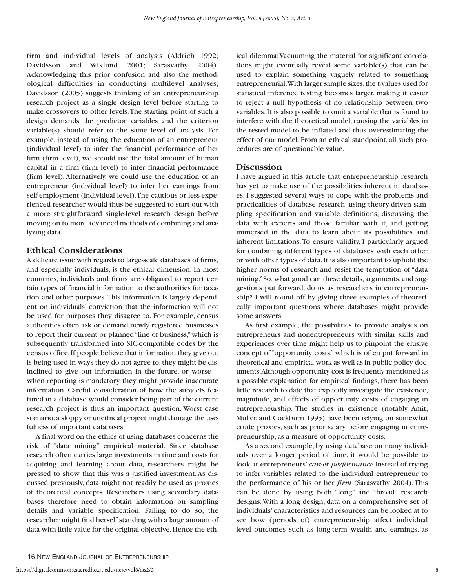firm and individual levels of analysis (Aldrich 1992; Davidsson and Wiklund 2001; Sarasvathy 2004). Acknowledging this prior confusion and also the methodological difficulties in conducting multilevel analyses, Davidsson (2005) suggests thinking of an entrepreneurship research project as a single design level before starting to make crossovers to other levels.The starting point of such a design demands the predictor variables and the criterion variable(s) should refer to the same level of analysis. For example, instead of using the education of an entrepreneur (individual level) to infer the financial performance of her firm (firm level), we should use the total amount of human capital in a firm (firm level) to infer financial performance (firm level). Alternatively, we could use the education of an entrepreneur (individual level) to infer her earnings from self-employment (individual level).The cautious or less-experienced researcher would thus be suggested to start out with a more straightforward single-level research design before moving on to more advanced methods of combining and analyzing data.

#### **Ethical Considerations**

A delicate issue with regards to large-scale databases of firms, and especially individuals, is the ethical dimension. In most countries, individuals and firms are obligated to report certain types of financial information to the authorities for taxation and other purposes.This information is largely dependent on individuals' conviction that the information will not be used for purposes they disagree to. For example, census authorities often ask or demand newly registered businesses to report their current or planned "line of business,"which is subsequently transformed into SIC-compatible codes by the census office.If people believe that information they give out is being used in ways they do not agree to, they might be disinclined to give out information in the future, or worse when reporting is mandatory, they might provide inaccurate information. Careful consideration of how the subjects featured in a database would consider being part of the current research project is thus an important question. Worst case scenario:a sloppy or unethical project might damage the usefulness of important databases.

A final word on the ethics of using databases concerns the risk of "data mining" empirical material. Since database research often carries large investments in time and costs for acquiring and learning about data, researchers might be pressed to show that this was a justified investment. As discussed previously, data might not readily be used as proxies of theoretical concepts. Researchers using secondary databases therefore need to obtain information on sampling details and variable specification. Failing to do so, the researcher might find herself standing with a large amount of data with little value for the original objective.Hence the eth-

ical dilemma:Vacuuming the material for significant correlations might eventually reveal some variable(s) that can be used to explain something vaguely related to something entrepreneurial. With larger sample sizes, the t-values used for statistical inference testing becomes larger, making it easier to reject a null hypothesis of no relationship between two variables. It is also possible to omit a variable that is found to interfere with the theoretical model, causing the variables in the tested model to be inflated and thus overestimating the effect of our model. From an ethical standpoint, all such procedures are of questionable value.

#### **Discussion**

I have argued in this article that entrepreneurship research has yet to make use of the possibilities inherent in databases. I suggested several ways to cope with the problems and practicalities of database research: using theory-driven sampling specification and variable definitions, discussing the data with experts and those familiar with it, and getting immersed in the data to learn about its possibilities and inherent limitations.To ensure validity, I particularly argued for combining different types of databases with each other or with other types of data.It is also important to uphold the higher norms of research and resist the temptation of "data mining."So, what good can these details, arguments, and suggestions put forward, do us as researchers in entrepreneurship? I will round off by giving three examples of theoretically important questions where databases might provide some answers.

As first example, the possibilities to provide analyses on entrepreneurs and nonentrepreneurs with similar skills and experiences over time might help us to pinpoint the elusive concept of "opportunity costs," which is often put forward in theoretical and empirical work as well as in public policy documents.Although opportunity cost is frequently mentioned as a possible explanation for empirical findings, there has been little research to date that explicitly investigate the existence, magnitude, and effects of opportunity costs of engaging in entrepreneurship. The studies in existence (notably Amit, Muller, and Cockburn 1995) have been relying on somewhat crude proxies, such as prior salary before engaging in entrepreneurship, as a measure of opportunity costs.

As a second example, by using database on many individuals over a longer period of time, it would be possible to look at entrepreneurs' *career performance* instead of trying to infer variables related to the individual entrepreneur to the performance of his or her *firm* (Sarasvathy 2004). This can be done by using both "long" and "broad" research designs:With a long design, data on a comprehensive set of individuals' characteristics and resources can be looked at to see how (periods of) entrepreneurship affect individual level outcomes such as long-term wealth and earnings, as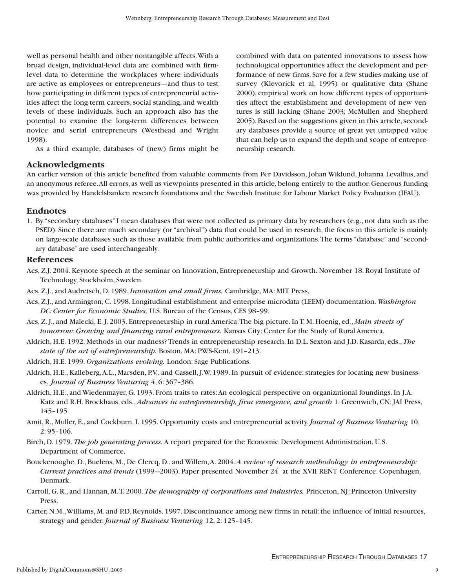well as personal health and other nontangible affects.With a broad design, individual-level data are combined with firmlevel data to determine the workplaces where individuals are active as employees or entrepreneurs—and thus to test how participating in different types of entrepreneurial activities affect the long-term careers, social standing, and wealth levels of these individuals. Such an approach also has the potential to examine the long-term differences between novice and serial entrepreneurs (Westhead and Wright 1998).

As a third example, databases of (new) firms might be

# **Acknowledgments**

combined with data on patented innovations to assess how technological opportunities affect the development and performance of new firms. Save for a few studies making use of survey (Klevorick et al, 1995) or qualitative data (Shane 2000), empirical work on how different types of opportunities affect the establishment and development of new ventures is still lacking (Shane 2003; McMullen and Shepherd 2005). Based on the suggestions given in this article, secondary databases provide a source of great yet untapped value that can help us to expand the depth and scope of entrepreneurship research.

An earlier version of this article benefited from valuable comments from Per Davidsson, Johan Wiklund, Johanna Levallius, and an anonymous referee.All errors, as well as viewpoints presented in this article, belong entirely to the author. Generous funding was provided by Handelsbanken research foundations and the Swedish Institute for Labour Market Policy Evaluation (IFAU).

#### **Endnotes**

1. By "secondary databases" I mean databases that were not collected as primary data by researchers (e.g., not data such as the PSED). Since there are much secondary (or "archival") data that could be used in research, the focus in this article is mainly on large-scale databases such as those available from public authorities and organizations.The terms "database" and "secondary database" are used interchangeably.

#### **References**

- Acs, Z.J. 2004. Keynote speech at the seminar on Innovation, Entrepreneurship and Growth. November 18. Royal Institute of Technology, Stockholm, Sweden.
- Acs, Z.J., and Audretsch, D. 1989.*Innovation and small firms.* Cambridge, MA: MIT Press.
- Acs, Z.J., and Armington, C. 1998. Longitudinal establishment and enterprise microdata (LEEM) documentation. *Washington DC: Center for Economic Studies,* U.S. Bureau of the Census, CES 98–99.
- Acs, Z. J., and Malecki, E. J. 2003. Entrepreneurship in rural America:The big picture. In T. M. Hoenig, ed., *Main streets of tomorrow: Growing and financing rural entrepreneurs.* Kansas City: Center for the Study of Rural America.
- Aldrich, H.E. 1992. Methods in our madness? Trends in entrepreneurship research. In D.L. Sexton and J.D. Kasarda, eds., *The state of the art of entrepreneurship.* Boston, MA: PWS-Kent, 191–213.
- Aldrich, H.E. 1999. *Organizations evolving.* London: Sage Publications.
- Aldrich, H.E., Kalleberg,A.L., Marsden, P.V., and Cassell, J.W. 1989. In pursuit of evidence: strategies for locating new businesses. *Journal of Business Venturing* 4, 6: 367–386.
- Aldrich, H.E., and Wiedenmayer, G. 1993. From traits to rates:An ecological perspective on organizational foundings. In J.A. Katz and R.H. Brockhaus, eds., *Advances in entrepreneurship, firm emergence, and growth* 1. Greenwich, CN: JAI Press, 145–195
- Amit, R., Muller, E., and Cockburn, I. 1995. Opportunity costs and entrepreneurial activity.*Journal of Business Venturing* 10, 2: 95–106.
- Birch, D. 1979. *The job generating process.* A report prepared for the Economic Development Administration, U.S. Department of Commerce.
- Bouckenooghe, D., Buelens, M., De Clercq, D., and Willem,A. 2004. *A review of research methodology in entrepreneurship: Current practices and trends* (1999–-2003). Paper presented November 24 at the XVII RENT Conference. Copenhagen, Denmark.
- Carroll, G. R., and Hannan, M.T. 2000. *The demography of corporations and industries.* Princeton, NJ: Princeton University Press.
- Carter, N.M.,Williams, M. and P.D. Reynolds. 1997. Discontinuance among new firms in retail: the influence of initial resources, strategy and gender.*Journal of Business Venturing* 12, 2: 125–145.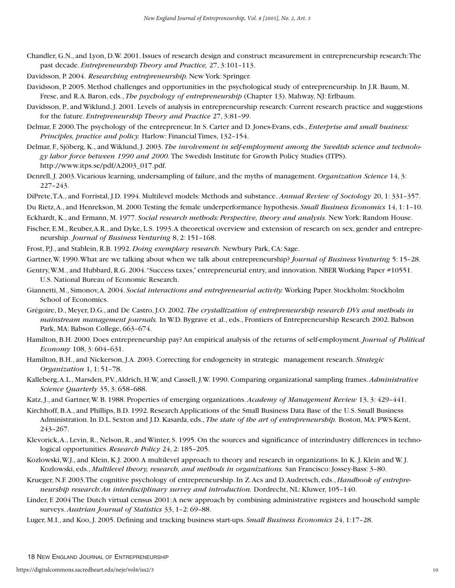- Chandler, G.N., and Lyon, D.W. 2001. Issues of research design and construct measurement in entrepreneurship research:The past decade. *Entrepreneurship Theory and Practice,* 27, 3:101–113.
- Davidsson, P. 2004. *Researching entrepreneurship.* New York: Springer.
- Davidsson, P. 2005. Method challenges and opportunities in the psychological study of entrepreneurship. In J.R. Baum, M. Frese, and R.A. Baron, eds., *The psychology of entrepreneurship* (Chapter 13). Mahway, NJ: Erlbaum.
- Davidsson, P., and Wiklund, J. 2001. Levels of analysis in entrepreneurship research: Current research practice and suggestions for the future. *Entrepreneurship Theory and Practice* 27, 3:81–99.
- Delmar, F. 2000.The psychology of the entrepreneur. In S. Carter and D. Jones-Evans, eds., *Enterprise and small business: Principles, practice and policy.* Harlow: Financial Times, 132–154.
- Delmar, F., Sjöberg, K., and Wiklund, J. 2003. *The involvement in self-employment among the Swedish science and technology labor force between 1990 and 2000.* The Swedish Institute for Growth Policy Studies (ITPS). http://www.itps.se/pdf/A2003\_017.pdf.
- Denrell, J. 2003.Vicarious learning, undersampling of failure, and the myths of management. *Organization Science* 14, 3: 227–243.
- DiPrete,T.A., and Forristal, J.D. 1994. Multilevel models: Methods and substance. *Annual Review of Sociology* 20, 1: 331–357.
- Du Rietz,A., and Henrekson, M. 2000.Testing the female underperformance hypothesis. *Small Business Economics* 14, 1: 1–10.
- Eckhardt, K., and Ermann, M. 1977. *Social research methods: Perspective, theory and analysis.* New York: Random House.
- Fischer, E.M., Reuber,A.R., and Dyke, L.S. 1993.A theoretical overview and extension of research on sex, gender and entrepreneurship. *Journal of Business Venturing* 8, 2: 151–168.
- Frost, P.J., and Stablein, R.B. 1992. *Doing exemplary research.* Newbury Park, CA: Sage.
- Gartner,W. 1990.What are we talking about when we talk about entrepreneurship? *Journal of Business Venturing* 5: 15–28.
- Gentry,W.M., and Hubbard, R.G. 2004."Success taxes," entrepreneurial entry, and innovation. NBER Working Paper #10551. U.S. National Bureau of Economic Research.
- Giannetti, M., Simonov,A. 2004. *Social interactions and entrepreneurial activity.* Working Paper. Stockholm: Stockholm School of Economics.
- Grégoire, D., Meyer, D.G., and De Castro, J.O. 2002. *The crystallization of entrepreneurship research DVs and methods in mainstream management journals.* In W.D. Bygrave et al., eds., Frontiers of Entrepreneurship Research 2002. Babson Park, MA: Babson College, 663–674.
- Hamilton, B.H. 2000. Does entrepreneurship pay? An empirical analysis of the returns of self-employment.*Journal of Political Economy* 108, 3: 604–631.
- Hamilton, B.H., and Nickerson, J.A. 2003. Correcting for endogeneity in strategic management research. *Strategic Organization* 1, 1: 51–78.
- Kalleberg,A.L., Marsden, P.V.,Aldrich, H.W, and Cassell, J.W. 1990. Comparing organizational sampling frames. *Administrative Science Quarterly* 35, 3: 658–688.
- Katz, J., and Gartner,W. B. 1988. Properties of emerging organizations. *Academy of Management Review* 13, 3: 429–441.
- Kirchhoff, B.A., and Phillips, B.D. 1992. Research Applications of the Small Business Data Base of the U.S. Small Business Administration. In D.L. Sexton and J.D. Kasarda, eds., *The state of the art of entrepreneurship.* Boston, MA: PWS-Kent, 243–267.
- Klevorick,A., Levin, R., Nelson, R., and Winter, S. 1995. On the sources and significance of interindustry differences in technological opportunities. *Research Policy* 24, 2: 185–205.
- Kozlowski,W.J., and Klein, K.J. 2000.A multilevel approach to theory and research in organizations. In K. J. Klein and W. J. Kozlowski, eds., *Multilevel theory, research, and methods in organizations.* San Francisco: Jossey-Bass: 3–80.
- Krueger, N.F. 2003.The cognitive psychology of entrepreneurship. In Z.Acs and D.Audretsch, eds., *Handbook of entrepreneurship research:An interdisciplinary survey and introduction.* Dordrecht, NL: Kluwer, 105–140.
- Linder, F. 2004 The Dutch virtual census 2001:A new approach by combining administrative registers and household sample surveys. *Austrian Journal of Statistics* 33, 1–2: 69–88.
- Luger, M.I., and Koo, J. 2005. Defining and tracking business start-ups. *Small Business Economics* 24, 1:17–28.